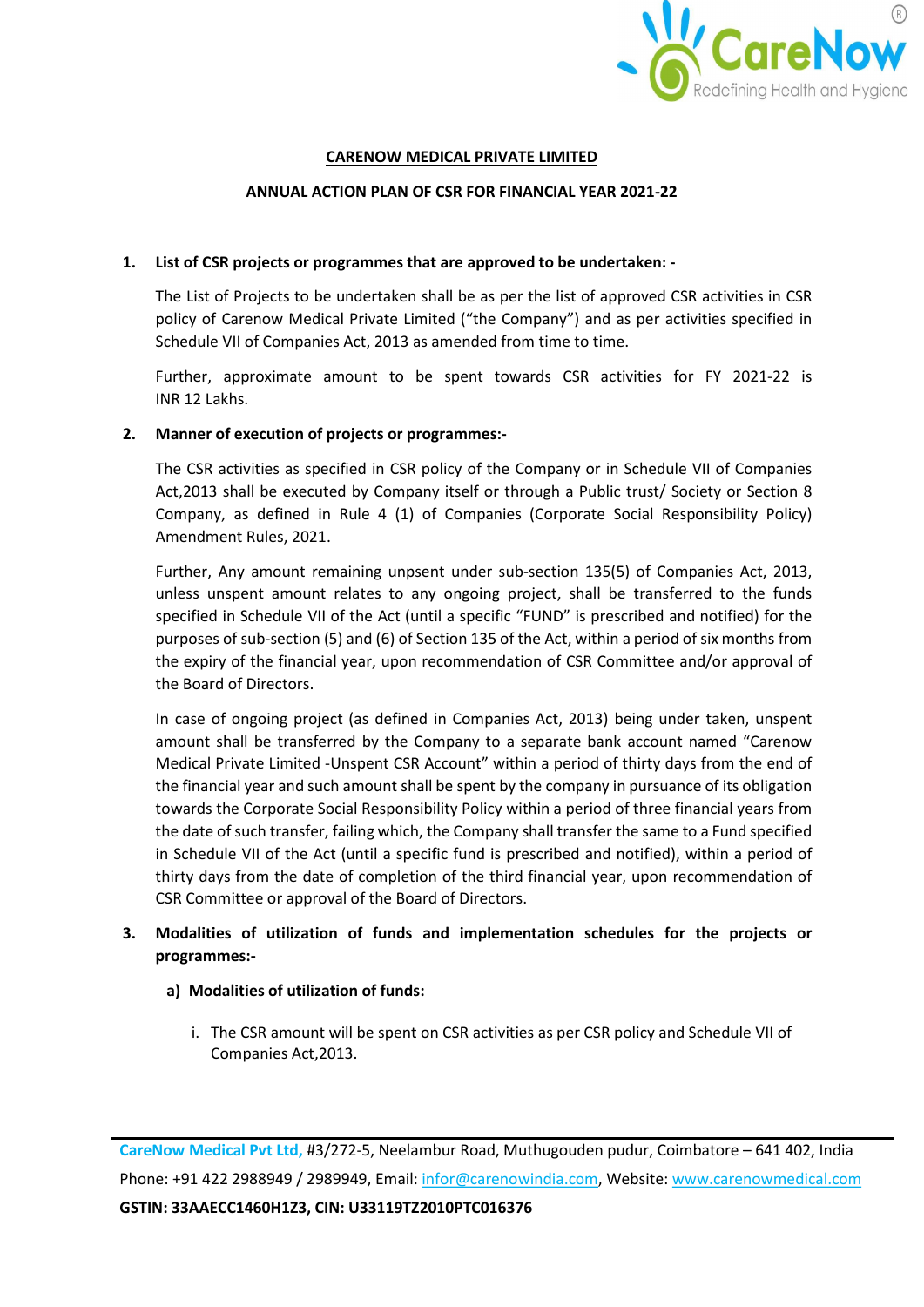

### CARENOW MEDICAL PRIVATE LIMITED

#### ANNUAL ACTION PLAN OF CSR FOR FINANCIAL YEAR 2021-22

### 1. List of CSR projects or programmes that are approved to be undertaken: -

The List of Projects to be undertaken shall be as per the list of approved CSR activities in CSR policy of Carenow Medical Private Limited ("the Company") and as per activities specified in Schedule VII of Companies Act, 2013 as amended from time to time.

Further, approximate amount to be spent towards CSR activities for FY 2021-22 is INR 12 Lakhs.

#### 2. Manner of execution of projects or programmes:-

The CSR activities as specified in CSR policy of the Company or in Schedule VII of Companies Act,2013 shall be executed by Company itself or through a Public trust/ Society or Section 8 Company, as defined in Rule 4 (1) of Companies (Corporate Social Responsibility Policy) Amendment Rules, 2021.

Further, Any amount remaining unpsent under sub-section 135(5) of Companies Act, 2013, unless unspent amount relates to any ongoing project, shall be transferred to the funds specified in Schedule VII of the Act (until a specific "FUND" is prescribed and notified) for the purposes of sub-section (5) and (6) of Section 135 of the Act, within a period of six months from the expiry of the financial year, upon recommendation of CSR Committee and/or approval of the Board of Directors.

In case of ongoing project (as defined in Companies Act, 2013) being under taken, unspent amount shall be transferred by the Company to a separate bank account named "Carenow Medical Private Limited -Unspent CSR Account" within a period of thirty days from the end of the financial year and such amount shall be spent by the company in pursuance of its obligation towards the Corporate Social Responsibility Policy within a period of three financial years from the date of such transfer, failing which, the Company shall transfer the same to a Fund specified in Schedule VII of the Act (until a specific fund is prescribed and notified), within a period of thirty days from the date of completion of the third financial year, upon recommendation of CSR Committee or approval of the Board of Directors.

# 3. Modalities of utilization of funds and implementation schedules for the projects or programmes:-

- a) Modalities of utilization of funds:
	- i. The CSR amount will be spent on CSR activities as per CSR policy and Schedule VII of Companies Act,2013.

CareNow Medical Pvt Ltd, #3/272-5, Neelambur Road, Muthugouden pudur, Coimbatore – 641 402, India Phone: +91 422 2988949 / 2989949, Email: infor@carenowindia.com, Website: www.carenowmedical.com GSTIN: 33AAECC1460H1Z3, CIN: U33119TZ2010PTC016376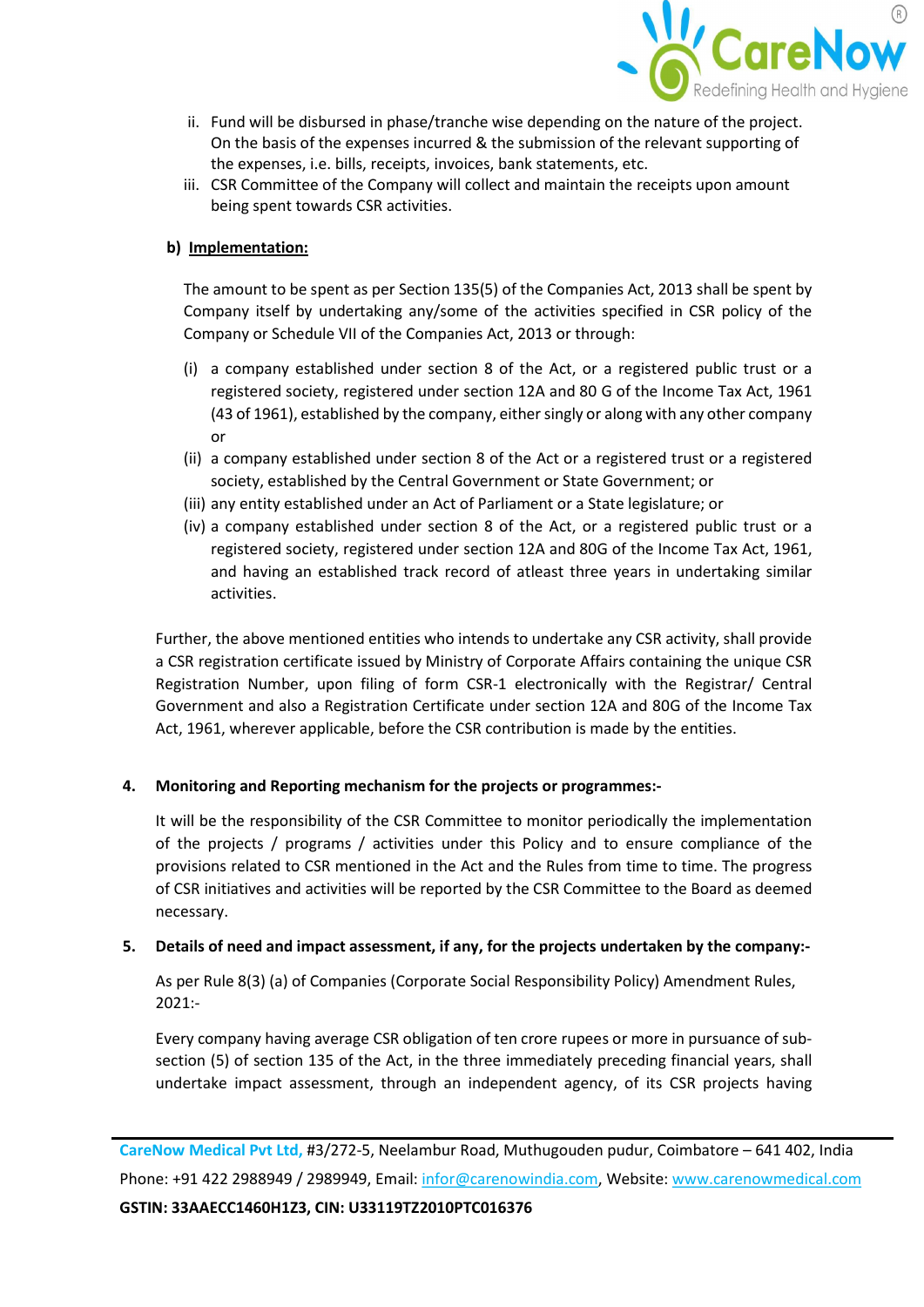

- ii. Fund will be disbursed in phase/tranche wise depending on the nature of the project. On the basis of the expenses incurred & the submission of the relevant supporting of the expenses, i.e. bills, receipts, invoices, bank statements, etc.
- iii. CSR Committee of the Company will collect and maintain the receipts upon amount being spent towards CSR activities.

## b) Implementation:

The amount to be spent as per Section 135(5) of the Companies Act, 2013 shall be spent by Company itself by undertaking any/some of the activities specified in CSR policy of the Company or Schedule VII of the Companies Act, 2013 or through:

- (i) a company established under section 8 of the Act, or a registered public trust or a registered society, registered under section 12A and 80 G of the Income Tax Act, 1961 (43 of 1961), established by the company, either singly or along with any other company or
- (ii) a company established under section 8 of the Act or a registered trust or a registered society, established by the Central Government or State Government; or
- (iii) any entity established under an Act of Parliament or a State legislature; or
- (iv) a company established under section 8 of the Act, or a registered public trust or a registered society, registered under section 12A and 80G of the Income Tax Act, 1961, and having an established track record of atleast three years in undertaking similar activities.

Further, the above mentioned entities who intends to undertake any CSR activity, shall provide a CSR registration certificate issued by Ministry of Corporate Affairs containing the unique CSR Registration Number, upon filing of form CSR-1 electronically with the Registrar/ Central Government and also a Registration Certificate under section 12A and 80G of the Income Tax Act, 1961, wherever applicable, before the CSR contribution is made by the entities.

## 4. Monitoring and Reporting mechanism for the projects or programmes:-

It will be the responsibility of the CSR Committee to monitor periodically the implementation of the projects / programs / activities under this Policy and to ensure compliance of the provisions related to CSR mentioned in the Act and the Rules from time to time. The progress of CSR initiatives and activities will be reported by the CSR Committee to the Board as deemed necessary.

## 5. Details of need and impact assessment, if any, for the projects undertaken by the company:-

As per Rule 8(3) (a) of Companies (Corporate Social Responsibility Policy) Amendment Rules, 2021:-

Every company having average CSR obligation of ten crore rupees or more in pursuance of subsection (5) of section 135 of the Act, in the three immediately preceding financial years, shall undertake impact assessment, through an independent agency, of its CSR projects having

CareNow Medical Pvt Ltd, #3/272-5, Neelambur Road, Muthugouden pudur, Coimbatore – 641 402, India Phone: +91 422 2988949 / 2989949, Email: infor@carenowindia.com, Website: www.carenowmedical.com GSTIN: 33AAECC1460H1Z3, CIN: U33119TZ2010PTC016376